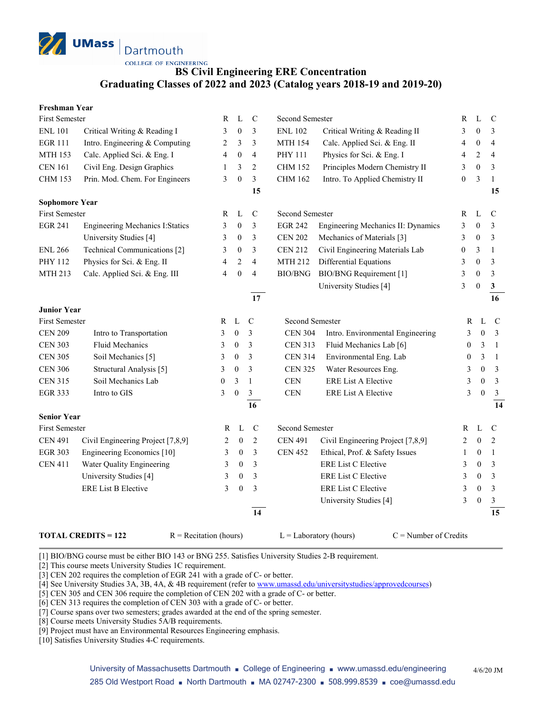

**COLLEGE OF ENGINEERING** 

## **BS Civil Engineering ERE Concentration Graduating Classes of 2022 and 2023 (Catalog years 2018-19 and 2019-20)**

| <b>Freshman Year</b> |
|----------------------|
|----------------------|

| First Semester        |                                         | R                        | L                | $\mathbf C$             | Second Semester |                                    | R                | L                | $\mathcal{C}$   |
|-----------------------|-----------------------------------------|--------------------------|------------------|-------------------------|-----------------|------------------------------------|------------------|------------------|-----------------|
| <b>ENL 101</b>        | Critical Writing & Reading I            | 3                        | $\mathbf{0}$     | 3                       | <b>ENL 102</b>  | Critical Writing & Reading II      | 3                | $\boldsymbol{0}$ | 3               |
| <b>EGR 111</b>        | Intro. Engineering & Computing          | 2                        | 3                | 3                       | <b>MTH 154</b>  | Calc. Applied Sci. & Eng. II       | 4                | $\boldsymbol{0}$ | $\overline{4}$  |
| <b>MTH 153</b>        | Calc. Applied Sci. & Eng. I             | 4                        | $\boldsymbol{0}$ | 4                       | PHY 111         | Physics for Sci. & Eng. I          | 4                | 2                | $\overline{4}$  |
| <b>CEN 161</b>        | Civil Eng. Design Graphics              | $\mathbf{1}$             | 3                | $\overline{2}$          | <b>CHM 152</b>  | Principles Modern Chemistry II     | 3                | $\boldsymbol{0}$ | 3               |
| <b>CHM 153</b>        | Prin. Mod. Chem. For Engineers          | 3                        | $\mathbf{0}$     | $\overline{3}$          | <b>CHM 162</b>  | Intro. To Applied Chemistry II     | $\boldsymbol{0}$ | 3                | $\mathbf{1}$    |
|                       |                                         |                          |                  | 15                      |                 |                                    |                  |                  | 15              |
| <b>Sophomore Year</b> |                                         |                          |                  |                         |                 |                                    |                  |                  |                 |
| <b>First Semester</b> |                                         | R                        | L                | $\mathsf{C}$            | Second Semester |                                    | R                | L                | $\mathcal{C}$   |
| <b>EGR 241</b>        | <b>Engineering Mechanics I: Statics</b> | 3                        | $\boldsymbol{0}$ | 3                       | <b>EGR 242</b>  | Engineering Mechanics II: Dynamics | 3                | $\boldsymbol{0}$ | 3               |
|                       | University Studies [4]                  | 3                        | $\boldsymbol{0}$ | $\overline{\mathbf{3}}$ | <b>CEN 202</b>  | Mechanics of Materials [3]         | 3                | $\boldsymbol{0}$ | 3               |
| <b>ENL 266</b>        | Technical Communications [2]            | 3                        | $\boldsymbol{0}$ | 3                       | <b>CEN 212</b>  | Civil Engineering Materials Lab    | $\boldsymbol{0}$ | 3                | $\mathbf{1}$    |
| PHY 112               | Physics for Sci. & Eng. II              | $\overline{\mathcal{L}}$ | $\overline{2}$   | $\overline{4}$          | <b>MTH 212</b>  | Differential Equations             | 3                | $\theta$         | 3               |
| MTH 213               | Calc. Applied Sci. & Eng. III           | 4                        | $\mathbf{0}$     | $\overline{4}$          | <b>BIO/BNG</b>  | BIO/BNG Requirement [1]            | 3                | $\mathbf{0}$     | 3               |
|                       |                                         |                          |                  |                         |                 | University Studies [4]             | 3                | $\mathbf{0}$     | $\mathbf{3}$    |
|                       |                                         |                          |                  | 17                      |                 |                                    |                  |                  | 16              |
| <b>Junior Year</b>    |                                         |                          |                  |                         |                 |                                    |                  |                  |                 |
| First Semester        |                                         | R                        | $\mathbf L$      | $\mathbf C$             | Second Semester |                                    | $\mathbb{R}$     | L                | $\mathbf C$     |
| <b>CEN 209</b>        | Intro to Transportation                 | 3                        | $\boldsymbol{0}$ | $\mathfrak{Z}$          | <b>CEN 304</b>  | Intro. Environmental Engineering   | 3                | $\mathbf{0}$     | $\overline{3}$  |
| <b>CEN 303</b>        | Fluid Mechanics                         | 3                        | $\boldsymbol{0}$ | 3                       | <b>CEN 313</b>  | Fluid Mechanics Lab [6]            | $\theta$         | 3                | $\mathbf{1}$    |
| <b>CEN 305</b>        | Soil Mechanics [5]                      | 3                        | $\boldsymbol{0}$ | 3                       | <b>CEN 314</b>  | Environmental Eng. Lab             | $\boldsymbol{0}$ | 3                | $\mathbf{1}$    |
| <b>CEN 306</b>        | Structural Analysis [5]                 | 3                        | $\boldsymbol{0}$ | 3                       | <b>CEN 325</b>  | Water Resources Eng.               | 3                | $\mathbf{0}$     | $\overline{3}$  |
| <b>CEN 315</b>        | Soil Mechanics Lab                      | 0                        | 3                | 1                       | CEN             | <b>ERE List A Elective</b>         | 3                | $\mathbf{0}$     | $\overline{3}$  |
| <b>EGR 333</b>        | Intro to GIS                            | 3                        | $\boldsymbol{0}$ | $\mathfrak{Z}$          | $\mbox{CEN}$    | <b>ERE List A Elective</b>         | 3                | $\boldsymbol{0}$ | $\mathfrak{Z}$  |
|                       |                                         |                          |                  | 16                      |                 |                                    |                  |                  | 14              |
| <b>Senior Year</b>    |                                         |                          |                  |                         |                 |                                    |                  |                  |                 |
| <b>First Semester</b> |                                         | R                        | L                | $\mathcal{C}$           | Second Semester |                                    | R                | L                | $\mathbf C$     |
| <b>CEN 491</b>        | Civil Engineering Project [7,8,9]       | 2                        | $\boldsymbol{0}$ | $\overline{2}$          | <b>CEN 491</b>  | Civil Engineering Project [7,8,9]  | 2                | $\mathbf{0}$     | 2               |
| <b>EGR 303</b>        | Engineering Economics [10]              | 3                        | $\boldsymbol{0}$ | 3                       | <b>CEN 452</b>  | Ethical, Prof. & Safety Issues     | 1                | $\theta$         | $\mathbf{1}$    |
| <b>CEN 411</b>        | Water Quality Engineering               | 3                        | $\mathbf{0}$     | 3                       |                 | ERE List C Elective                | 3                | $\mathbf{0}$     | 3               |
|                       | University Studies [4]                  | 3                        | $\boldsymbol{0}$ | 3                       |                 | ERE List C Elective                | 3                | $\boldsymbol{0}$ | 3               |
|                       | <b>ERE List B Elective</b>              | 3                        | $\boldsymbol{0}$ | 3                       |                 | <b>ERE List C Elective</b>         | 3                | $\boldsymbol{0}$ | $\mathfrak{Z}$  |
|                       |                                         |                          |                  |                         |                 | University Studies [4]             | 3                | $\mathbf{0}$     | $\mathfrak{Z}$  |
|                       |                                         |                          |                  | 14                      |                 |                                    |                  |                  | $\overline{15}$ |
|                       |                                         |                          |                  |                         |                 |                                    |                  |                  |                 |

**TOTAL CREDITS = 122** R = Recitation (hours) L = Laboratory (hours) C = Number of Credits

[1] BIO/BNG course must be either BIO 143 or BNG 255. Satisfies University Studies 2-B requirement.

[2] This course meets University Studies 1C requirement.

[3] CEN 202 requires the completion of EGR 241 with a grade of C- or better.

[4] See University Studies 3A, 3B, 4A, & 4B requirement (refer t[o www.umassd.edu/universitystudies/approvedcourses\)](http://www.umassd.edu/universitystudies/approvedcourses)

[5] CEN 305 and CEN 306 require the completion of CEN 202 with a grade of C- or better.

[6] CEN 313 requires the completion of CEN 303 with a grade of C- or better.

[7] Course spans over two semesters; grades awarded at the end of the spring semester.

[8] Course meets University Studies 5A/B requirements.

[9] Project must have an Environmental Resources Engineering emphasis.

[10] Satisfies University Studies 4-C requirements.